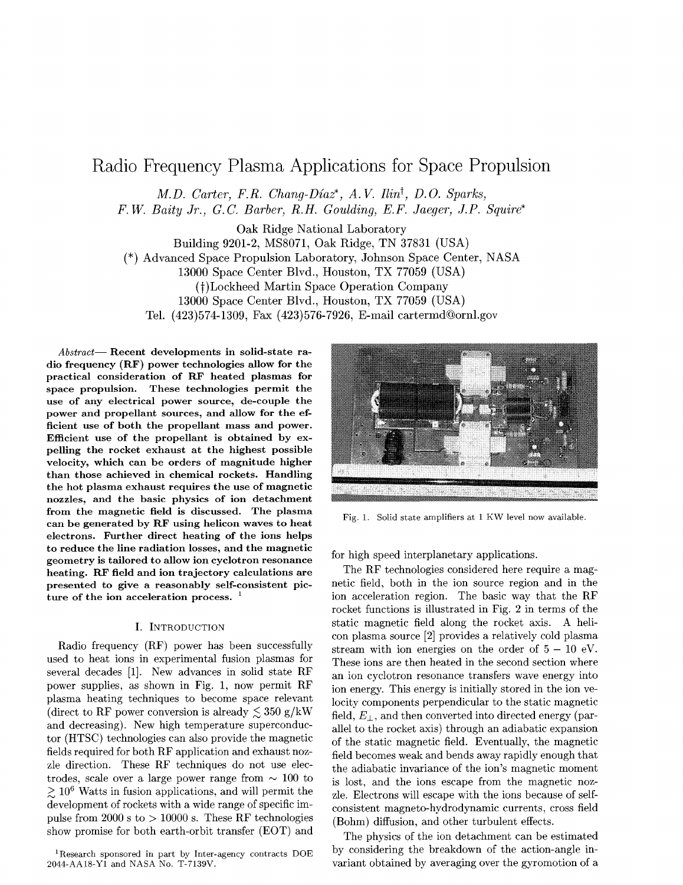# Radio Frequency Plasma Applications for Space Propulsion

*M.D. Carter, F.R. Chang-Diaz*<sup>\*</sup>, A.V. *Ilin*<sup>†</sup>, D.O. Sparks,

*F.W. Baity Jr., G.C Barber, R.H. Goulding, E.F. Jaeger, J.P. Squire\**

Oak Ridge National Laboratory Building 9201-2, MS8071, Oak Ridge, TN 37831 (USA) (\*) Advanced Space Propulsion Laboratory, Johnson Space Center, NASA 13000 Space Center Blvd., Houston, TX 77059 (USA) (f)Lockheed Martin Space Operation Company 13000 Space Center Blvd., Houston, TX 77059 (USA) Tel. (423)574-1309, Fax (423)576-7926, E-mail cartermd@ornl.gov

*Abstract*— Recent developments in solid-state radio frequency (RF) power technologies allow for the practical consideration of RF heated plasmas for space propulsion. These technologies permit the use of any electrical power source, de-couple the power and propellant sources, and allow for the efficient use of both the propellant mass and power. Efficient use of the propellant is obtained by expelling the rocket exhaust at the highest possible velocity, which can be orders of magnitude higher than those achieved in chemical rockets. Handling the hot plasma exhaust requires the use of magnetic nozzles, and the basic physics of ion detachment from the magnetic field is discussed. The plasma can be generated by RF using helicon waves to heat electrons. Further direct heating of the ions helps to reduce the line radiation losses, and the magnetic geometry is tailored to allow ion cyclotron resonance heating. RF field and ion trajectory calculations are presented to give a reasonably self-consistent pic- *1* ture of the ion acceleration process.

## I. INTRODUCTION

Radio frequency (RF) power has been successfully used to heat ions in experimental fusion plasmas for several decades [1]. New advances in solid state RF power supplies, as shown in Fig. 1, now permit RF plasma heating techniques to become space relevant (direct to RF power conversion is already  $\leq$  350 g/kW and decreasing). New high temperature superconductor (HTSC) technologies can also provide the magnetic fields required for both RF application and exhaust nozzle direction. These RF techniques do not use electrodes, scale over a large power range from  $\sim 100$  to  $\gtrsim 10^6$  Watts in fusion applications, and will permit the development of rockets with a wide range of specific impulse from 2000 s to  $> 10000$  s. These RF technologies show promise for both earth-orbit transfer (EOT) and



Fig. 1. Solid state amplifiers at 1 KW level now available.

for high speed interplanetary applications.

The RF technologies considered here require a magnetic field, both in the ion source region and in the ion acceleration region. The basic way that the RF rocket functions is illustrated in Fig. 2 in terms of the static magnetic field along the rocket axis. A helicon plasma source [2] provides a relatively cold plasma stream with ion energies on the order of  $5 - 10$  eV. These ions are then heated in the second section where an ion cyclotron resonance transfers wave energy into ion energy. This energy is initially stored in the ion velocity components perpendicular to the static magnetic field,  $E_{\perp}$ , and then converted into directed energy (parallel to the rocket axis) through an adiabatic expansion of the static magnetic field. Eventually, the magnetic field becomes weak and bends away rapidly enough that the adiabatic invariance of the ion's magnetic moment is lost, and the ions escape from the magnetic nozzle. Electrons will escape with the ions because of selfconsistent magneto-hydrodynamic currents, cross field (Bohm) diffusion, and other turbulent effects.

The physics of the ion detachment can be estimated by considering the breakdown of the action-angle invariant obtained by averaging over the gyromotion of a

<sup>1</sup> Research sponsored in part by Inter-agency contracts DOE 2044-AA18-Y1 and NASA No. T-7139V.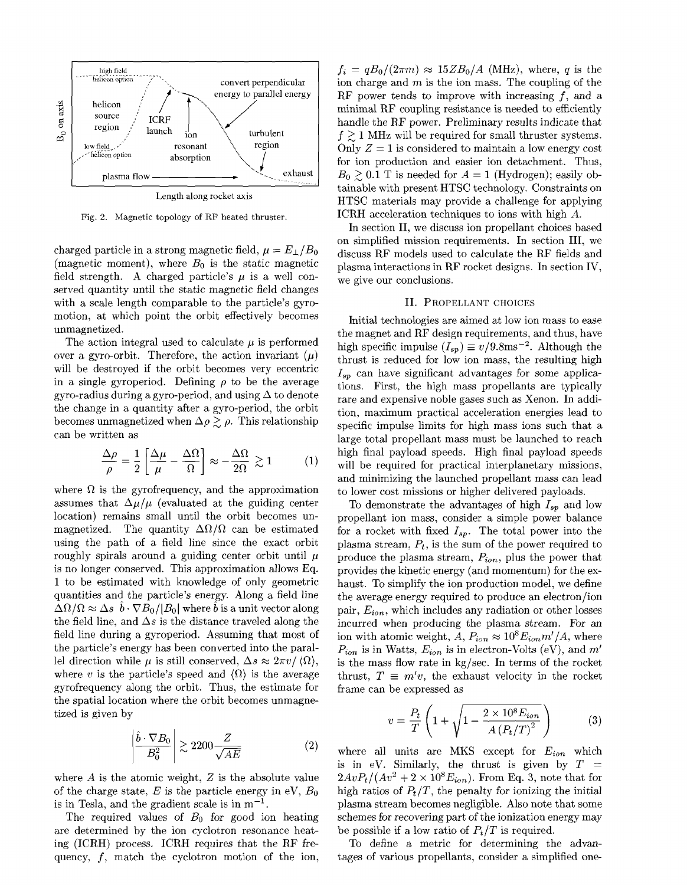

Fig. 2. Magnetic topology of RF heated thruster.

charged particle in a strong magnetic field,  $\mu = E_{\perp}/B_0$ (magnetic moment), where *Bo* is the static magnetic field strength. A charged particle's  $\mu$  is a well conserved quantity until the static magnetic field changes with a scale length comparable to the particle's gyromotion, at which point the orbit effectively becomes unmagnetized.

The action integral used to calculate  $\mu$  is performed over a gyro-orbit. Therefore, the action invariant  $(\mu)$ will be destroyed if the orbit becomes very eccentric in a single gyroperiod. Defining  $\rho$  to be the average gyro-radius during a gyro-period, and using  $\Delta$  to denote the change in a quantity after a gyro-period, the orbit becomes unmagnetized when  $\Delta \rho \gtrsim \rho$ . This relationship can be written as

$$
\frac{\Delta \rho}{\rho} = \frac{1}{2} \left[ \frac{\Delta \mu}{\mu} - \frac{\Delta \Omega}{\Omega} \right] \approx -\frac{\Delta \Omega}{2\Omega} \gtrsim 1 \tag{1}
$$

where  $\Omega$  is the gyrofrequency, and the approximation assumes that  $\Delta\mu/\mu$  (evaluated at the guiding center location) remains small until the orbit becomes unmagnetized. The quantity  $\Delta\Omega/\Omega$  can be estimated using the path of a field line since the exact orbit roughly spirals around a guiding center orbit until *n* is no longer conserved. This approximation allows Eq. 1 to be estimated with knowledge of only geometric quantities and the particle's energy. Along a field line  $\Delta\Omega/\Omega \approx \Delta s/\bar{b} \cdot \nabla B_0/|B_0|$  where  $\hat{b}$  is a unit vector along the field line, and  $\Delta s$  is the distance traveled along the field line during a gyroperiod. Assuming that most of the particle's energy has been converted into the parallel direction while  $\mu$  is still conserved,  $\Delta s \approx 2\pi v/\langle\Omega\rangle$ , where *v* is the particle's speed and  $\langle \Omega \rangle$  is the average gyrofrequency along the orbit. Thus, the estimate for the spatial location where the orbit becomes unmagnetized is given by

$$
\left| \frac{\hat{b} \cdot \nabla B_0}{B_0^2} \right| \gtrsim 2200 \frac{Z}{\sqrt{AE}} \tag{2}
$$

where *A* is the atomic weight, *Z* is the absolute value of the charge state,  $E$  is the particle energy in eV,  $B_0$ is in Tesla, and the gradient scale is in  $m^{-1}$ .

The required values of *Bo* for good ion heating are determined by the ion cyclotron resonance heating (ICRH) process. ICRH requires that the RF frequency,  $f$ , match the cyclotron motion of the ion,

 $f_i = qB_0/(2\pi m) \approx 15 Z B_0/A$  (MHz), where, *q* is the ion charge and *m* is the ion mass. The coupling of the RF power tends to improve with increasing  $f$ , and a minimal RF coupling resistance is needed to efficiently handle the RF power. Preliminary results indicate that  $f \geq 1$  MHz will be required for small thruster systems. Only  $Z = 1$  is considered to maintain a low energy cost for ion production and easier ion detachment. Thus,  $B_0 \geq 0.1$  T is needed for  $A = 1$  (Hydrogen); easily obtainable with present HTSC technology. Constraints on HTSC materials may provide a challenge for applying ICRH acceleration techniques to ions with high *A.*

In section II, we discuss ion propellant choices based on simplified mission requirements. In section III, we discuss RF models used to calculate the RF fields and plasma interactions in RF rocket designs. In section IV, we give our conclusions.

### II. PROPELLANT CHOICES

Initial technologies are aimed at low ion mass to ease the magnet and RF design requirements, and thus, have high specific impulse  $(I_{sp}) \equiv v/9.8 \text{ms}^{-2}$ . Although the thrust is reduced for low ion mass, the resulting high *Isp* can have significant advantages for some applications. First, the high mass propellants are typically rare and expensive noble gases such as Xenon. In addition, maximum practical acceleration energies lead to specific impulse limits for high mass ions such that a large total propellant mass must be launched to reach high final payload speeds. High final payload speeds will be required for practical interplanetary missions, and minimizing the launched propellant mass can lead to lower cost missions or higher delivered payloads.

To demonstrate the advantages of high *Isp* and low propellant ion mass, consider a simple power balance for a rocket with fixed *Isp.* The total power into the plasma stream, *P<sup>t</sup> ,* is the sum of the power required to produce the plasma stream, *Pion,* plus the power that provides the kinetic energy (and momentum) for the exhaust. To simplify the ion production model, we define the average energy required to produce an electron/ion pair, *Eion,* which includes any radiation or other losses incurred when producing the plasma stream. For an ion with atomic weight,  $A, P_{ion} \approx 10^8 E_{ion} m'/A$ , where  $P_{ion}$  is in Watts,  $E_{ion}$  is in electron-Volts (eV), and  $m'$ is the mass flow rate in kg/sec. In terms of the rocket thrust,  $T \equiv m'v$ , the exhaust velocity in the rocket frame can be expressed as

$$
v = \frac{P_t}{T} \left( 1 + \sqrt{1 - \frac{2 \times 10^8 E_{ion}}{A (P_t/T)^2}} \right)
$$
 (3)

where all units are MKS except for *Eion* which is in eV. Similarly, the thrust is given by  $T =$  $2AvP_t/(Av^2 + 2 \times 10^8 E_{ion})$ . From Eq. 3, note that for high ratios of  $P_t/T$ , the penalty for ionizing the initial plasma stream becomes negligible. Also note that some schemes for recovering part of the ionization energy may be possible if a low ratio of  $P_t/T$  is required.

To define a metric for determining the advantages of various propellants, consider a simplified one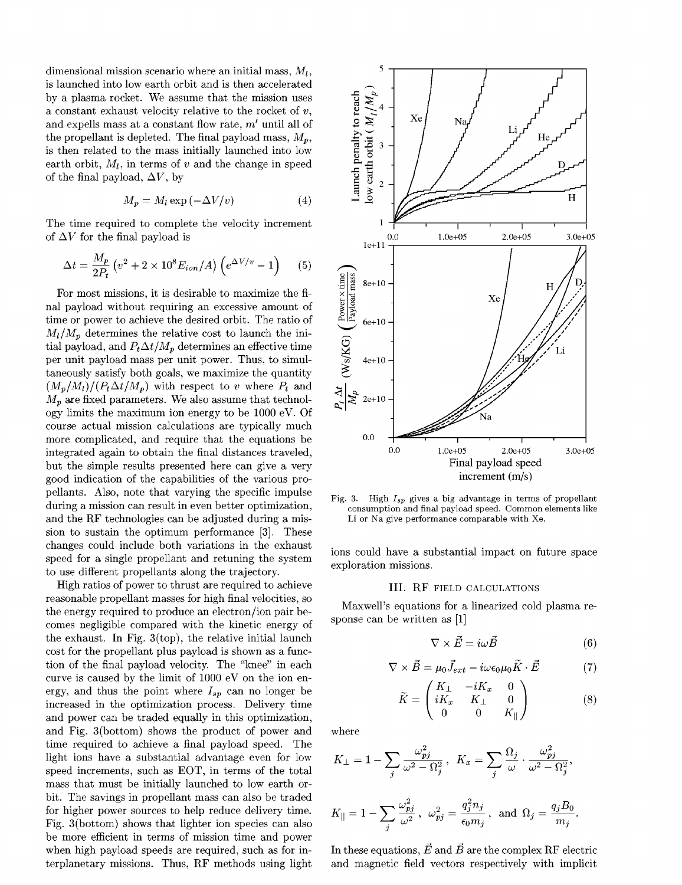dimensional mission scenario where an initial mass, *Mi,* is launched into low earth orbit and is then accelerated by a plasma rocket. We assume that the mission uses a constant exhaust velocity relative to the rocket of *v,* and expells mass at a constant flow rate, *m'* until all of the propellant is depleted. The final payload mass,  $M_p$ , is then related to the mass initially launched into low earth orbit,  $M_l$ , in terms of v and the change in speed of the final payload,  $\Delta V$ , by

$$
M_p = M_l \exp\left(-\Delta V/v\right) \tag{4}
$$

The time required to complete the velocity increment of  $\Delta V$  for the final payload is

$$
\Delta t = \frac{M_p}{2P_t} \left( v^2 + 2 \times 10^8 E_{ion} / A \right) \left( e^{\Delta V/v} - 1 \right) \tag{5}
$$

For most missions, it is desirable to maximize the final payload without requiring an excessive amount of time or power to achieve the desired orbit. The ratio of  $M_l/M_p$  determines the relative cost to launch the initial payload, and  $P_t \Delta t / M_p$  determines an effective time per unit payload mass per unit power. Thus, to simultaneously satisfy both goals, we maximize the quantity  $(M_p/M_l)/(P_t\Delta t/M_p)$  with respect to *v* where  $P_t$  and  $M_p$  are fixed parameters. We also assume that technology limits the maximum ion energy to be 1000 eV. Of course actual mission calculations are typically much more complicated, and require that the equations be integrated again to obtain the final distances traveled, but the simple results presented here can give a very good indication of the capabilities of the various propellants. Also, note that varying the specific impulse during a mission can result in even better optimization, and the RF technologies can be adjusted during a mission to sustain the optimum performance [3]. These changes could include both variations in the exhaust speed for a single propellant and retuning the system to use different propellants along the trajectory.

High ratios of power to thrust are required to achieve reasonable propellant masses for high final velocities, so the energy required to produce an electron/ion pair becomes negligible compared with the kinetic energy of the exhaust. In Fig. 3(top), the relative initial launch cost for the propellant plus payload is shown as a function of the final payload velocity. The "knee" in each curve is caused by the limit of 1000 eV on the ion energy, and thus the point where *Isp* can no longer be increased in the optimization process. Delivery time and power can be traded equally in this optimization, and Fig. 3(bottom) shows the product of power and time required to achieve a final payload speed. The light ions have a substantial advantage even for low speed increments, such as EOT, in terms of the total mass that must be initially launched to low earth orbit. The savings in propellant mass can also be traded for higher power sources to help reduce delivery time. Fig. 3 (bottom) shows that lighter ion species can also be more efficient in terms of mission time and power when high payload speeds are required, such as for interplanetary missions. Thus, RF methods using light



Fig. 3. High *Isp* gives a big advantage in terms of propellant consumption and final payload speed. Common elements like Li or Na give performance comparable with Xe.

ions could have a substantial impact on future space exploration missions.

#### III. RF FIELD CALCULATIONS

Maxwell's equations for a linearized cold plasma response can be written as [1]

$$
\nabla \times \vec{E} = i\omega \vec{B} \tag{6}
$$

$$
\nabla \times \vec{B} = \mu_0 \vec{J}_{ext} - i\omega \epsilon_0 \mu_0 \tilde{K} \cdot \vec{E}
$$
 (7)

$$
\widetilde{K} = \begin{pmatrix} K_{\perp} & -iK_x & 0 \\ iK_x & K_{\perp} & 0 \\ 0 & 0 & K_{\parallel} \end{pmatrix}
$$
 (8)

where

$$
\begin{aligned} K_{\perp} &= 1 - \sum_j \frac{\omega_{pj}^2}{\omega^2 - \Omega_j^2} \,, \ \ K_x &= \sum_j \frac{\Omega_j}{\omega} \cdot \frac{\omega_{pj}^2}{\omega^2 - \Omega_j^2}, \\ K_{\parallel} &= 1 - \sum_i \frac{\omega_{pj}^2}{\omega^2} \,, \ \omega_{pj}^2 = \frac{q_j^2 n_j}{\epsilon_0 m_j} \,, \ \ \text{and} \ \ \Omega_j &= \frac{q_j B_0}{m_j}. \end{aligned}
$$

In these equations,  $\vec{E}$  and  $\vec{B}$  are the complex RF electric and magnetic field vectors respectively with implicit